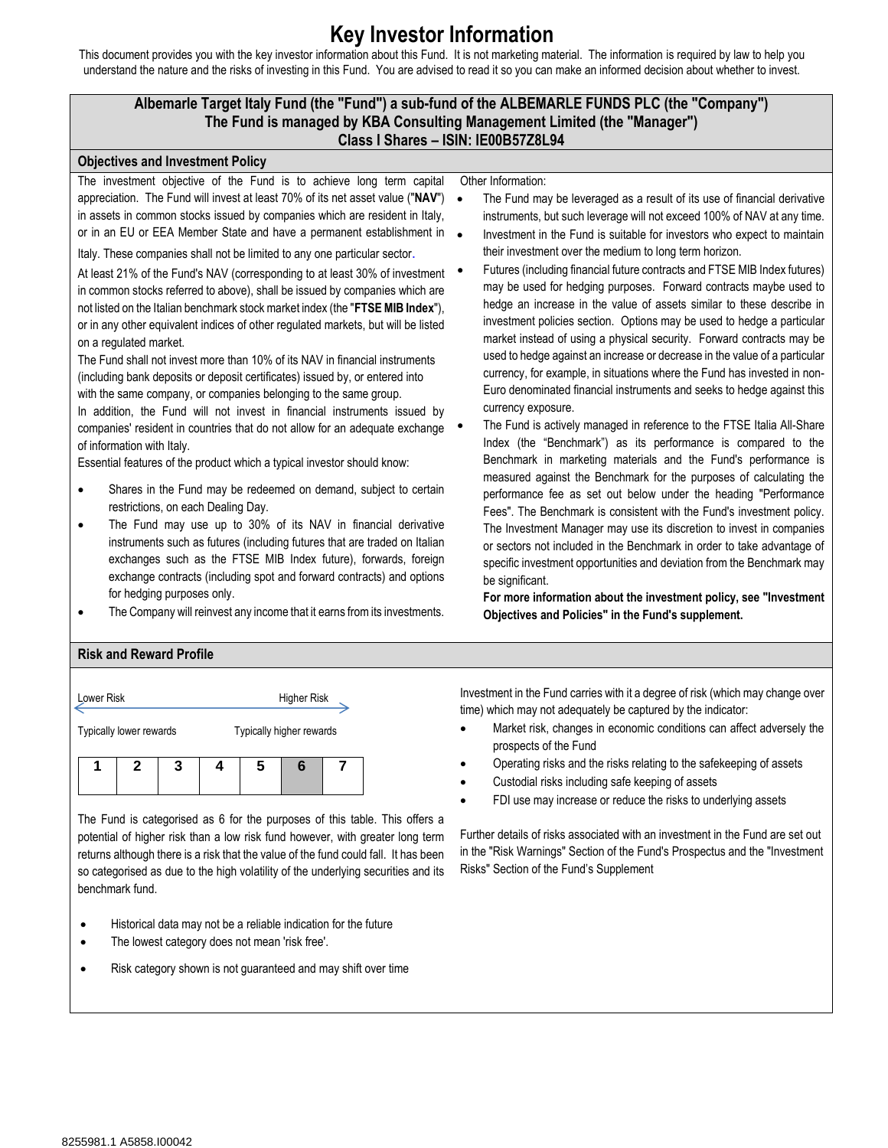## **Key Investor Information**

This document provides you with the key investor information about this Fund. It is not marketing material. The information is required by law to help you understand the nature and the risks of investing in this Fund. You are advised to read it so you can make an informed decision about whether to invest.

## **Albemarle Target Italy Fund (the "Fund") a sub-fund of the ALBEMARLE FUNDS PLC (the "Company") The Fund is managed by KBA Consulting Management Limited (the "Manager") Class I Shares – ISIN: IE00B57Z8L94**



The Fund is categorised as 6 for the purposes of this table. This offers a potential of higher risk than a low risk fund however, with greater long term returns although there is a risk that the value of the fund could fall. It has been so categorised as due to the high volatility of the underlying securities and its benchmark fund.

- Historical data may not be a reliable indication for the future
- The lowest category does not mean 'risk free'.
- Risk category shown is not guaranteed and may shift over time

Investment in the Fund carries with it a degree of risk (which may change over time) which may not adequately be captured by the indicator:

- Market risk, changes in economic conditions can affect adversely the prospects of the Fund
- Operating risks and the risks relating to the safekeeping of assets
- Custodial risks including safe keeping of assets
- FDI use may increase or reduce the risks to underlying assets

Further details of risks associated with an investment in the Fund are set out in the "Risk Warnings" Section of the Fund's Prospectus and the "Investment Risks" Section of the Fund's Supplement